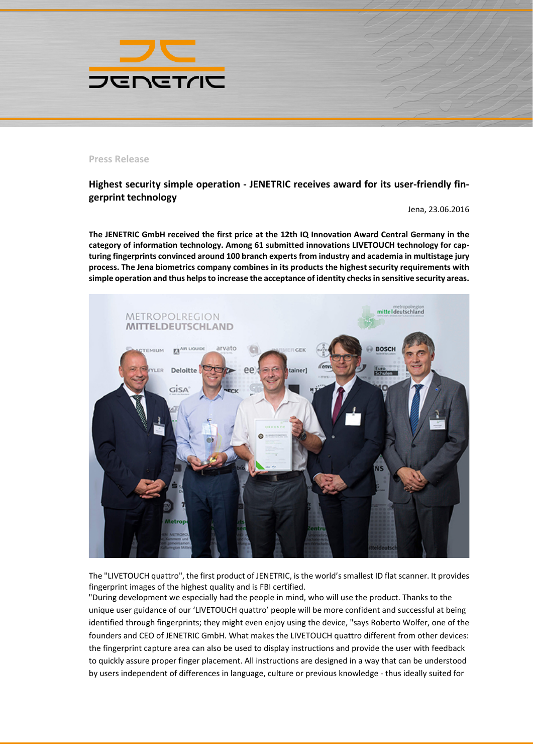

## **Press Release**

## **Highest security simple operation - JENETRIC receives award for its user-friendly fingerprint technology**

Jena, 23.06.2016

**The JENETRIC GmbH received the first price at the 12th IQ Innovation Award Central Germany in the category of information technology. Among 61 submitted innovations LIVETOUCH technology for capturing fingerprints convinced around 100 branch experts from industry and academia in multistage jury process. The Jena biometrics company combines in its products the highest security requirements with simple operation and thus helps to increase the acceptance of identity checks in sensitive security areas.**



The "LIVETOUCH quattro", the first product of JENETRIC, is the world's smallest ID flat scanner. It provides fingerprint images of the highest quality and is FBI certified.

"During development we especially had the people in mind, who will use the product. Thanks to the unique user guidance of our 'LIVETOUCH quattro' people will be more confident and successful at being identified through fingerprints; they might even enjoy using the device, "says Roberto Wolfer, one of the founders and CEO of JENETRIC GmbH. What makes the LIVETOUCH quattro different from other devices: the fingerprint capture area can also be used to display instructions and provide the user with feedback to quickly assure proper finger placement. All instructions are designed in a way that can be understood by users independent of differences in language, culture or previous knowledge - thus ideally suited for